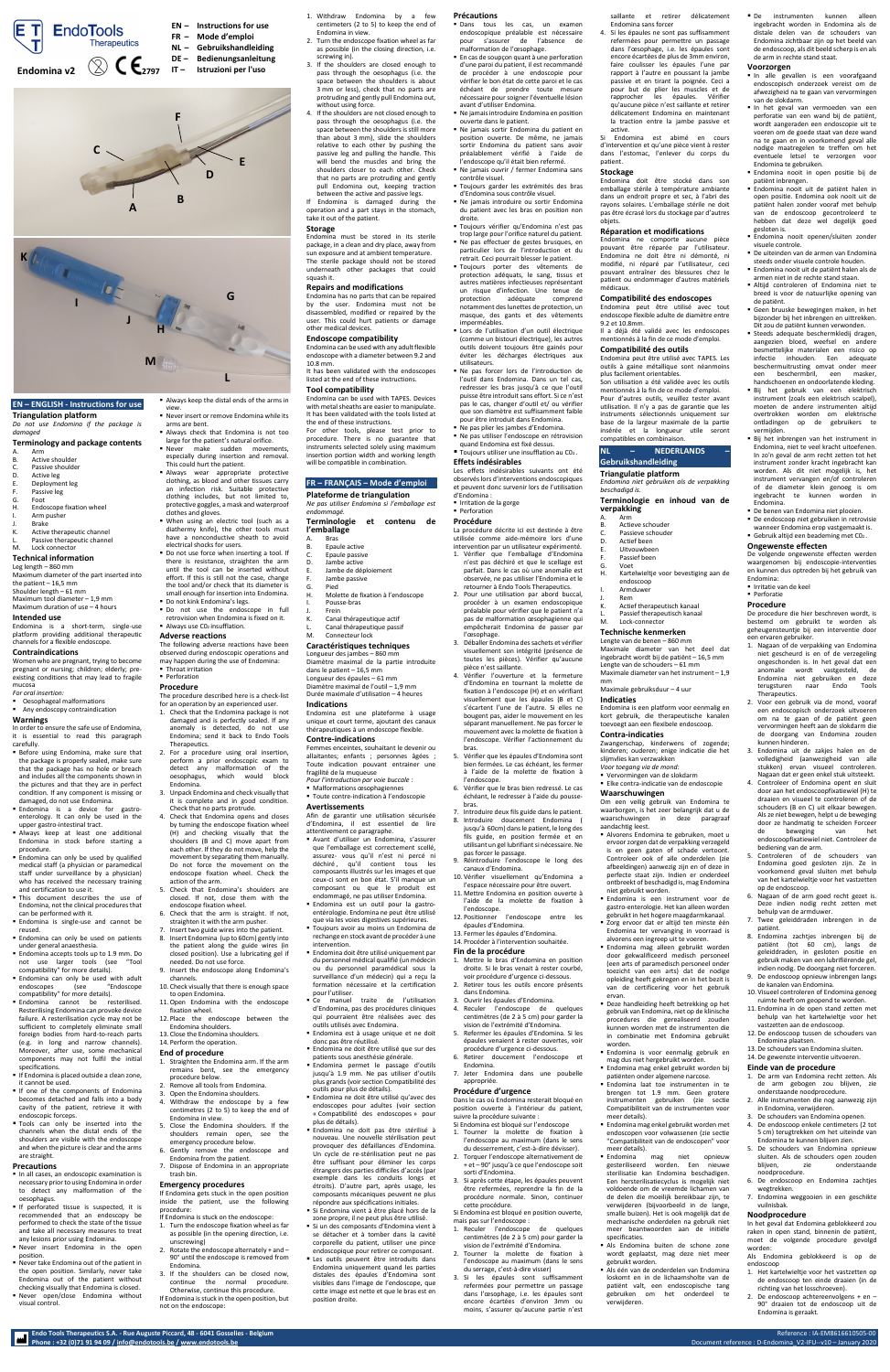- A. Arm
- B. Active shoulder<br>C. Passive shoulde C. Passive shoulder<br>D. Active leg
- D. Active leg<br>E. Deployme
- E. Deployment leg<br>F. Passive leg
- F. Passive leg<br>G. Foot
- G. Foot<br>H. Endo Endoscope fixation wheel
- Arm pusher
- J. Brake<br>K. Active
- Active therapeutic channel
- L. Passive therapeutic channel<br>M. Lock connector Lock connector

# **EN – ENGLISH - Instructions for use**

**Triangulation platform** *Do not use Endomina if the package is damaged*

### **Terminology and package contents**

- *For oral insertion:*
- Oesophageal malformations Any endoscopy contraindication

### **Technical information**

Leg length – 860 mm Maximum diameter of the part inserted into the patient – 16,5 mm Shoulder length – 61 mm Maximum tool diameter – 1,9 mm Maximum duration of use – 4 hours

## **Intended use**

Endomina is a short-term, single-use platform providing additional therapeutic channels for a flexible endoscope.

### **Contraindications**

Women who are pregnant, trying to become pregnant or nursing; children; elderly; preexisting conditions that may lead to fragile mucosa

## **Warnings**

In order to ensure the safe use of Endomina, it is essential to read this paragraph

damaged, do not use Endomina.

 Endomina is a device for gastroenterology. It can only be used in the upper gastro-intestinal tract.

- **Precautions In all cases, an endoscopic examination is** necessary prior to using Endomina in order to detect any malformation of the oesophagus.
- **If perforated tissue is suspected, it is** recommended that an endoscopy be performed to check the state of the tissue and take all necessary measures to treat any lesions prior using Endomina.
- Never insert Endomina in the open position.
- Never take Endomina out of the patient in the open position. Similarly, never take Endomina out of the patient without checking visually that Endomina is closed.
- Never open/close Endomina without visual control.

Always wear appropriate protective clothing, as blood and other tissues carry an infection risk. Suitable protective clothing includes, but not limited to, protective goggles, a mask and waterproof

When using an electric tool (such as a diathermy knife), the other tools must have a nonconductive sheath to avoid

Do not use force when inserting a tool. If there is resistance, straighten the arm until the tool can be inserted without effort. If this is still not the case, change the tool and/or check that its diameter is small enough for insertion into Endomina.

Do not use the endoscope in full retrovision when Endomina is fixed on it.

- Always keep at least one additional Endomina in stock before starting a procedure.
- **Endomina can only be used by qualified** medical staff (a physician or paramedical staff under surveillance by a physician) who has received the necessary training and certification to use it.
- This document describes the use of Endomina, not the clinical procedures that can be performed with it.
- Endomina is single-use and cannot be reused.
- **Endomina can only be used on patients** under general anaesthesia.
- **Endomina accepts tools up to 1.9 mm. Do** not use larger tools (see "Tool compatibility" for more details).
- **Endomina can only be used with adult** endoscopes (see "Endoscope compatibility" for more details).
- Endomina cannot be resterilised. Resterilising Endomina can provoke device failure. A resterilisation cycle may not be sufficient to completely eliminate small foreign bodies from hard-to-reach parts (e.g. in long and narrow channels). Moreover, after use, some mechanical components may not fulfil the initial specifications.
- **If Endomina is placed outside a clean zone,** it cannot be used.
- **If one of the components of Endomina** becomes detached and falls into a body cavity of the patient, retrieve it with endoscopic forceps.
- Tools can only be inserted into the channels when the distal ends of the shoulders are visible with the endoscope and when the picture is clear and the arms are straight.

 $\blacksquare$  Always use CO<sub>2</sub> insufflation. **Adverse reactions**

**Throat irritation Perforation Procedure**

2. For a procedure using oral insertion, perform a prior endoscopic exam to detect any malformation of the<br>oesophagus, which would block

- carefully. Before using Endomina, make sure that the package is properly sealed, make sure that the package has no hole or breach and includes all the components shown in the pictures and that they are in perfect condition. If any component is missing or
- 3. Unpack Endomina and check visually that it is complete and in good condition.

Always keep the distal ends of the arms in

■ Never insert or remove Endomina while its

view.

arms are bent.

 Always check that Endomina is not too large for the patient's natural orifice. Never make sudden movements, especially during insertion and removal.

This could hurt the patient.

clothes and gloves.

electrical shocks for users.

Do not kink Endomina's legs.

The following adverse reactions have been observed during endoscopic operations and may happen during the use of Endomina:

The procedure described here is a check-list for an operation by an experienced user. 1. Check that the Endomina package is not damaged and is perfectly sealed. If any anomaly is detected, do not use Endomina; send it back to Endo Tools

Therapeutics.

Endomina.

Check that no parts protrude.

oesophagus, which

- 4. Check that Endomina opens and closes by turning the endoscope fixation wheel (H) and checking visually that the shoulders (B and C) move apart from each other. If they do not move, help the movement by separating them manually. Do not force the movement on the endoscope fixation wheel. Check the action of the arm.
- 5. Check that Endomina's shoulders are closed. If not, close them with the endoscope fixation wheel.
- 6. Check that the arm is straight. If not, straighten it with the arm pusher.
- 7. Insert two guide wires into the patient. 8. Insert Endomina (up to 60cm) gently into the patient along the guide wires (in closed position). Use a lubricating gel if needed. Do not use force.
- 9. Insert the endoscope along Endomina's channels.
- 10. Check visually that there is enough space to open Endomina. 11.Open Endomina with the endoscope
- fixation wheel.
- 12. Place the endoscope between the Endomina shoulders.
- 13. Close the Endomina shoulders.
- 14. Perform the operation.
- Avant d'utiliser un Endomina, s'assurer que l'emballage est correctement scellé, assurez- vous qu'il n'est ni percé ni déchiré , qu'il contient tous les composants illustrés sur les images et que ceux-ci sont en bon état. S'il manque un composant ou que le produit est endommagé, ne pas utiliser Endomina.
- Endomina est un outil pour la gastroentérologie. Endomina ne peut être utilisé que via les voies digestives supérieures.
- Toujours avoir au moins un Endomina de rechange en stock avant de procéder à une intervention.
- Endomina doit être utilisé uniquement par du personnel médical qualifié (un médecin ou du personnel paramédical sous la surveillance d'un médecin) qui a reçu la formation nécessaire et la certification pour l'utiliser.
- Ce manuel traite de l'utilisation d'Endomina, pas des procédures cliniques qui pourraient être réalisées avec des outils utilisés avec Endomina.
- Endomina est à usage unique et ne doit donc pas être réutilisé.
- Endomina ne doit être utilisé que sur des patients sous anesthésie générale.
- Endomina permet le passage d'outils jusqu'à 1.9 mm. Ne pas utiliser d'outils plus grands (voir sectio[n Compatibilité des](#page-0-0)  [outils](#page-0-0) pour plus de détails).
- Endomina ne doit être utilisé qu'avec des endoscopes pour adultes (voir section « [Compatibilité des endoscopes](#page-0-1) » pour plus de détails).
- Endomina ne doit pas être stérilisé à nouveau. Une nouvelle stérilisation peut provoquer des défaillances d'Endomina. Un cycle de re-stérilisation peut ne pas être suffisant pour éliminer les corps étrangers des parties difficiles d'accès (par exemple dans les conduits longs et étroits). D'autre part, après usage, les composants mécaniques peuvent ne plus répondre aux spécifications initiales.
- Si Endomina vient à être placé hors de la zone propre, il ne peut plus être utilisé.
- Si un des composants d'Endomina vient à se détacher et à tomber dans la cavité corporelle du patient, utiliser une pince endoscopique pour retirer ce composant.
- Les outils peuvent être introduits dans Endomina uniquement quand les parties distales des épaules d'Endomina sont visibles dans l'image de l'endoscope, que cette image est nette et que le bras est en position droite.
- **Précautions**
- Dans tous les cas, un examen endoscopique préalable est nécessaire pour s'assurer de l'absence de malformation de l'œsophage.
- **En cas de soupçon quant à une perforation** d'une paroi du patient, il est recommandé de procéder à une endoscopie pour vérifier le bon état de cette paroi et le cas échéant de prendre toute mesure nécessaire pour soigner l'éventuelle lésion avant d'utiliser Endomina.
- Ne jamais introduire Endomina en position ouverte dans le patient.
- Ne jamais sortir Endomina du patient en position ouverte. De même, ne jamais sortir Endomina du patient sans avoir préalablement vérifié à l'aide de l'endoscope qu'il était bien refermé.
- Ne jamais ouvrir / fermer Endomina sans contrôle visuel.
- Toujours garder les extrémités des bras d'Endomina sous contrôle visuel.
- Ne jamais introduire ou sortir Endomina du patient avec les bras en position non
- droite. Toujours vérifier qu'Endomina n'est pas trop large pour l'orifice naturel du patient.
- Ne pas effectuer de gestes brusques, en particulier lors de l'introduction et du
- retrait. Ceci pourrait blesser le patient. Toujours porter des vêtements de protection adéquats, le sang, tissus et autres matières infectieuses représentant un risque d'infection. Une tenue de<br>protection adéquate comprend adéquate comprend notamment des lunettes de protection, un masque, des gants et des vêtements imperméables.
- Lors de l'utilisation d'un outil électrique (comme un bistouri électrique), les autres outils doivent toujours être gainés pour éviter les décharges électriques aux utilisateurs.
- Ne pas forcer lors de l'introduction de l'outil dans Endomina. Dans un tel cas, redresser les bras jusqu'à ce que l'outil puisse être introduit sans effort. Si ce n'est pas le cas, changer d'outil et/ ou vérifier que son diamètre est suffisamment faible pour être introduit dans Endomina.
- Ne pas plier les jambes d'Endomina.
- Ne pas utiliser l'endoscope en rétrovision
- quand Endomina est fixé dessus. ■ Toujours utiliser une insufflation au CO2..

### **End of procedure**

- 1. Straighten the Endomina arm. If the arm remains bent, see the emergency procedure below.
- 2. Remove all tools from Endomina.
- 3. Open the Endomina shoulders.
- 4. Withdraw the endoscope by a few centimetres (2 to 5) to keep the end of Endomina in view.
- 5. Close the Endomina shoulders. If the shoulders remain open, see the emergency procedure below.
- 6. Gently remove the endoscope and Endomina from the patient.
- 7. Dispose of Endomina in an appropriate trash bin.

### **Emergency procedures**

If Endomina gets stuck in the open position inside the patient, use the following procedure:

- If Endomina is stuck on the endoscope:
- 1. Turn the endoscope fixation wheel as far as possible (in the opening direction, i.e. unscrewing)
- 2. Rotate the endoscope alternately + and 90° until the endoscope is removed from Endomina.
- 3. If the shoulders can be closed now, continue the normal procedure. Otherwise, continue this procedure. If Endomina is stuck in the open position, but not on the endoscope:
- 1. Withdraw Endomina by a few centimeters (2 to 5) to keep the end of Endomina in view.
- 2. Turn the endoscope fixation wheel as far as possible (in the closing direction, i.e. screwing in).
- 3. If the shoulders are closed enough to pass through the oesophagus (i.e. the space between the shoulders is about 3 mm or less), check that no parts are protruding and gently pull Endomina out, without using force.
- 4. If the shoulders are not closed enough to pass through the oesophagus (i.e. the space between the shoulders is still more than about 3 mm), slide the shoulders relative to each other by pushing the passive leg and pulling the handle. This will bend the muscles and bring the shoulders closer to each other. Check that no parts are protruding and gently pull Endomina out, keeping traction between the active and passive legs.

If Endomina is damaged during the operation and a part stays in the stomach, take it out of the patient.

### **Storage**

Endomina must be stored in its sterile package, in a clean and dry place, away from sun exposure and at ambient temperature. The sterile package should not be stored underneath other packages that could squash it.

### **Repairs and modifications**

Endomina has no parts that can be repaired by the user. Endomina must not be disassembled, modified or repaired by the user. This could hurt patients or damage other medical devices.

### **Endoscope compatibility**

Endomina can be used with any adult flexible endoscope with a diameter between 9.2 and 10.8 mm.

It has been validated with the endoscopes listed at the end of these instructions. **Tool compatibility**

Endomina can be used with TAPES. Devices with metal sheaths are easier to manipulate. It has been validated with the tools listed at the end of these instructions.

For other tools, please test prior to procedure. There is no guarantee that instruments selected solely using maximum insertion portion width and working length will be compatible in combination.

### **FR – FRANÇAIS – Mode d'emploi**

**Plateforme de triangulation** *Ne pas utiliser Endomina si l'emballage est* 

*endommagé.*

- **Terminologie et contenu de l'emballage**
- A. Bras
- B. Epaule active C. Epaule passive
- D. Jambe active
- E. Jambe de déploiement
- F. Jambe passive
- G. Pied
- H. Molette de fixation à l'endoscope
- Pousse-bras
- J. Frein K. Canal thérapeutique actif
- Canal thérapeutique passif
- M. Connecteur lock

### **Caractéristiques techniques**

Longueur des jambes – 860 mm Diamètre maximal de la partie introduite dans le patient – 16,5 mm Longueur des épaules – 61 mm Diamètre maximal de l'outil – 1,9 mm Durée maximale d'utilisation – 4 heures

### **Indications**

Endomina est une plateforme à usage unique et court terme, ajoutant des canaux thérapeutiques à un endoscope flexible.

### **Contre-indications**

B. Actieve schouder C. Passieve schouder<br>D. Actief been Actief been E. Uitvouwbeen F. Passief been G. Voet<br>H. Karte

Femmes enceintes, souhaitant le devenir ou allaitantes; enfants ; personnes âgées ; Toute indication pouvant entrainer une fragilité de la muqueuse *Pour l'introduction par voie buccale :*

endoscoop **Armduwer** Rem

- Malformations œsophagiennes
- Toute contre-indication à l'endoscopie

**Avertissements**

Afin de garantir une utilisation sécurisée d'Endomina, il est essentiel de lire attentivement ce paragraphe.

De instrumenten kunnen alleen ingebracht worden in Endomina als de distale delen van de schouders van Endomina zichtbaar zijn op het beeld van de endoscoop, als dit beeld scherp is en als

In alle gevallen is een voorafgaand endoscopisch onderzoek vereist om de afwezigheid na te gaan van vervormingen

### **Effets indésirables**

Les effets indésirables suivants ont été observés lors d'interventions endoscopiques et peuvent donc survenir lors de l'utilisation d'Endomina :

**Irritation de la gorge Perforation** 

### **Procédure**

La procédure décrite ici est destinée à être utilisée comme aide-mémoire lors d'une intervention par un utilisateur expérimenté. 1. Vérifier que l'emballage d'Endomina

- n'est pas déchiré et que le scellage est parfait. Dans le cas où une anomalie est observée, ne pas utiliser l'Endomina et le retourner à Endo Tools Therapeutics.
- 2. Pour une utilisation par abord buccal, procéder à un examen endoscopique préalable pour vérifier que le patient n'a pas de malformation œsophagienne qui empêcherait Endomina de passer par l'œsophage.
- 3. Déballer Endomina des sachets et vérifier visuellement son intégrité (présence de toutes les pièces). Vérifier qu'aucune pièce n'est saillante.
- 4. Vérifier l'ouverture et la fermeture d'Endomina en tournant la molette de fixation à l'endoscope (H) et en vérifiant visuellement que les épaules (B et C) s'écartent l'une de l'autre. Si elles ne bougent pas, aider le mouvement en les séparant manuellement. Ne pas forcer le mouvement avec la molette de fixation à l'endoscope. Vérifier l'actionnement du bras.
- 5. Vérifier que les épaules d'Endomina sont bien fermées. Le cas échéant, les fermer à l'aide de la molette de fixation à l'endoscope.
- 6. Vérifier que le bras bien redressé. Le cas échéant, le redresser à l'aide du poussebras.
- 7. Introduire deux fils guide dans le patient.
- 8. Introduire doucement Endomina ( jusqu'à 60cm) dans le patient, le long des fils guide, en position fermée et en utilisant un gel lubrifiant si nécessaire. Ne pas forcer le passage.
- 9. Réintroduire l'endoscope le long des canaux d'Endomina.
- 10. Vérifier visuellement qu'Endomina a l'espace nécessaire pour être ouvert.
- 11. Mettre Endomina en position ouverte à l'aide de la molette de fixation à l'endoscope.
- 12. Positionner l'endoscope entre les épaules d'Endomina.
- 13. Fermer les épaules d'Endomina.
- 14. Procéder à l'intervention souhaitée.

### **Fin de la procédure**

- 1. Mettre le bras d'Endomina en position droite. Si le bras venait à rester courbé, voir procédure d'urgence ci-dessous.
- 2. Retirer tous les outils encore présents dans Endomina.
- 3. Ouvrir les épaules d'Endomina.
- 4. Reculer l'endoscope de quelques centimètres (de 2 à 5 cm) pour garder la vision de l'extrémité d'Endomina.
- épaules venaient à rester ouvertes, voir procédure d'urgence ci-dessous.
- 6. Retirer doucement l'endoscope et Endomina.
- 7. Jeter Endomina dans une poubelle appropriée.

#### **Procédure d'urgence** Dans le cas où Endomina resterait bloqué en

position ouverte à l'intérieur du patient, suivre la procédure suivante :

Si Endomina est bloqué sur l'endoscope

- 1. Tourner la molette de fixation à l'endoscope au maximum (dans le sens du desserrement, c'est-à-dire dévisser).
- 2. Torquer l'endoscope alternativement de + et – 90° jusqu'à ce que l'endoscope soit sorti d'Endomina.
- 3. Si après cette étape, les épaules peuvent être refermées, reprendre la fin de la procédure normale. Sinon, continuer cette procédure.

Si Endomina est bloqué en position ouverte, mais pas sur l'endoscope :

- 1. Reculer l'endoscope de quelques centimètres (de 2 à 5 cm) pour garder la vision de l'extrémité d'Endomina.
- 2. Tourner la molette de fixation à l'endoscope au maximum (dans le sens du serrage, c'est-à-dire visser)
- 3. Si les épaules sont suffisamment refermées pour permettre un passage dans l'œsophage, i.e. les épaules sont encore écartées d'environ 3mm ou moins, s'assurer qu'aucune partie n'est

**Endo Tools Therapeutics S.A. - Rue Auguste Piccard, 48 - 6041 Gosselies - Belgium** Reference : IA-EM8616610505-00 Phone : +32 (0)71 91 94 09 [/ info@endotools.be](mailto:info@endotools.be) [/ www.endotools.be](http://www.endotools.be/) **/ www.endotools.be** Document reference : D-Endomina\_V2-IFU--v10 – January 2020

saillante et retirer délicatement Endomina sans forcer

4. Si les épaules ne sont pas suffisamment refermées pour permettre un passage dans l'œsophage, i.e. les épaules sont encore écartées de plus de 3mm environ, faire coulisser les épaules l'une par rapport à l'autre en poussant la jambe passive et en tirant la poignée. Ceci a pour but de plier les muscles et de rapprocher les épaules. Vérifier qu'aucune pièce n'est saillante et retirer délicatement Endomina en maintenant la traction entre la jambe passive et

active. Si Endomina est abimé en cours d'intervention et qu'une pièce vient à rester dans l'estomac, l'enlever du corps du patient.

### **Stockage**

Endomina doit être stocké dans son emballage stérile à température ambiante dans un endroit propre et sec, à l'abri des rayons solaires. L'emballage stérile ne doit pas être écrasé lors du stockage par d'autres objets.

### **Réparation et modifications**

Endomina ne comporte aucune pièce pouvant être réparée par l'utilisateur. Endomina ne doit être ni démonté, ni modifié, ni réparé par l'utilisateur, ceci pouvant entraîner des blessures chez le patient ou endommager d'autres matériels médicaux.

<span id="page-0-1"></span>**Compatibilité des endoscopes** Endomina peut être utilisé avec tout endoscope flexible adulte de diamètre entre

9.2 et 10.8mm.

Il a déjà été validé avec les endoscopes mentionnés à la fin de ce mode d'emploi.

<span id="page-0-0"></span>**Compatibilité des outils**

Endomina peut être utilisé avec TAPES. Les outils à gaine métallique sont néanmoins

- 
- 
- 5. Refermer les épaules d'Endomina. Si les kunnen worden met de instrumenten die in combinatie met Endomina gebruikt
	- worden. Endomina is voor eenmalig gebruik en mag dus niet hergebruikt worden.
		- Endomina mag enkel gebruikt worden bij patiënten onder algemene narcose.

plus facilement orientables.

Son utilisation a été validée avec les outils mentionnés à la fin de ce mode d'emploi. Pour d'autres outils, veuillez tester avant utilisation. Il n'y a pas de garantie que les instruments sélectionnés uniquement sur base de la largeur maximale de la partie insérée et la longueur utile seront

compatibles en combinaison. **NL – NEDERLANDS – Gebruikshandleiding Triangulatie platform**

*Endomina niet gebruiken als de verpakking* 

*beschadigd is.*

**Terminologie en inhoud van de** 

Kartelwieltje voor bevestiging aan de

**verpakking** A. Arm

K. Actief therapeutisch kanaal L. Passief therapeutisch kanaal<br>M. Lock-connector Lock-connector **Technische kenmerken** Lengte van de benen – 860 mm

Maximale diameter van het deel dat ingebracht wordt bij de patiënt – 16,5 mm Lengte van de schouders – 61 mm Maximale diameter van het instrument – 1,9

mm

Maximale gebruiksduur – 4 uur

**Indicaties**

Endomina is een platform voor eenmalig en kort gebruik, die therapeutische kanalen toevoegt aan een flexibele endoscoop.

**Contra-indicaties**

Zwangerschap, kinderwens of zogende; kinderen; ouderen; enige indicatie die het

slijmvlies kan verzwakken *Voor toegang via de mond:* Vervormingen van de slokdarm Elke contra-indicatie van de endoscopie

**Waarschuwingen**

Om een veilig gebruik van Endomina te waarborgen, is het zeer belangrijk dat u de waarschuwingen in deze paragraaf aandachtig leest.

- Alvorens Endomina te gebruiken, moet u ervoor zorgen dat de verpakking verzegeld is en geen gaten of schade vertoont. Controleer ook of alle onderdelen (zie afbeeldingen) aanwezig zijn en of deze in perfecte staat zijn. Indien er onderdeel ontbreekt of beschadigd is, mag Endomina niet gebruikt worden.
- Endomina is een instrument voor de gastro-enterologie. Het kan alleen worden gebruikt in het hogere maagdarmkanaal.
- Zorg ervoor dat er altijd ten minste één Endomina ter vervanging in voorraad is alvorens een ingreep uit te voeren.
- Endomina mag alleen gebruikt worden door gekwalificeerd medisch personeel (een arts of paramedisch personeel onder toezicht van een arts) dat de nodige opleiding heeft gekregen en in het bezit is van de certificering voor het gebruik

ervan.

 Deze handleiding heeft betrekking op het gebruik van Endomina, niet op de klinische procedures die gerealiseerd zouden

- Endomina laat toe instrumenten in te brengen tot 1.9 mm. Geen grotere instrumenten gebruiken (zie sectie Compatibiliteit van de instrumenten voor meer details).
- Endomina mag enkel gebruikt worden met endoscopen voor volwassenen (zie sectie "Compatibiliteit van de endoscopen" voor meer details).
- Endomina mag niet opnieuw gesteriliseerd worden. Een nieuwe sterilisatie kan Endomina beschadigen. Een hersterilisatiecyclus is mogelijk niet voldoende om de vreemde lichamen van de delen die moeilijk bereikbaar zijn, te verwijderen (bijvoorbeeld in de lange, smalle buizen). Het is ook mogelijk dat de mechanische onderdelen na gebruik niet meer beantwoorden aan de initiële specificaties.
- Als Endomina buiten de schone zone wordt geplaatst, mag deze niet meer gebruikt worden.
- Als één van de onderdelen van Endomina loskomt en in de lichaamsholte van de patiënt valt, een endoscopische tang gebruiken om het onderdeel te verwijderen.

de arm in rechte stand staat.

**Voorzorgen**

van de slokdarm.

 In het geval van vermoeden van een perforatie van een wand bij de patiënt, wordt aangeraden een endoscopie uit te voeren om de goede staat van deze wand na te gaan en in voorkomend geval alle nodige maatregelen te treffen om het eventuele letsel te verzorgen voor

Endomina te gebruiken.

Endomina nooit in open positie bij de

patiënt inbrengen.

 Endomina nooit uit de patiënt halen in open positie. Endomina ook nooit uit de patiënt halen zonder vooraf met behulp van de endoscoop gecontroleerd te hebben dat deze wel degelijk goed

gesloten is.

Endomina nooit openen/sluiten zonder

visuele controle.

 De uiteinden van de armen van Endomina steeds onder visuele controle houden. Endomina nooit uit de patiënt halen als de armen niet in de rechte stand staan. Altijd controleren of Endomina niet te breed is voor de natuurlijke opening van

de patiënt.

 Geen bruuske bewegingen maken, in het bijzonder bij het inbrengen en uittrekken. Dit zou de patiënt kunnen verwonden. Steeds adequate beschermkledij dragen, aangezien bloed, weefsel en andere besmettelijke materialen een risico op infectie inhouden. Een adequate beschermuitrusting omvat onder meer een beschermbril, een masker, handschoenen en ondoorlatende kleding. Bij het gebruik van een elektrisch instrument (zoals een elektrisch scalpel). moeten de andere instrumenten altijd overtrokken worden om elektrische ontladingen op de gebruikers te

vermijden.

 Bij het inbrengen van het instrument in Endomina, niet te veel kracht uitoefenen. In zo'n geval de arm recht zetten tot het instrument zonder kracht ingebracht kan worden. Als dit niet mogelijk is, het instrument vervangen en/of controleren of de diameter klein genoeg is om ingebracht te kunnen worden in

De benen van Endomina niet plooien. De endoscoop niet gebruiken in retrovisie wanneer Endomina erop vastgemaakt is. Gebruik altijd een beademing met  $CO<sub>2</sub>$ .

Endomina.

**Ongewenste effecten**

De volgende ongewenste effecten werden waargenomen bij endoscopie-interventies en kunnen dus optreden bij het gebruik van

Endomina: Irritatie van de keel **Perforatie Procedure**

De procedure die hier beschreven wordt, is bestemd om gebruikt te worden als geheugensteuntje bij een interventie door

een ervaren gebruiker.

1. Nagaan of de verpakking van Endomina niet gescheurd is en of de verzegeling ongeschonden is. In het geval dat een anomalie wordt vastgesteld, de Endomina niet gebruiken en deze terugsturen naar Endo Tools

Therapeutics.

2. Voor een gebruik via de mond, vooraf een endoscopisch onderzoek uitvoeren om na te gaan of de patiënt geen vervormingen heeft aan de slokdarm die de doorgang van Endomina zouden

kunnen hinderen.

3. Endomina uit de zakjes halen en de volledigheid (aanwezigheid van alle stukken) ervan visueel controleren. Nagaan dat er geen enkel stuk uitsteekt. 4. Controleer of Endomina opent en sluit door aan het endoscoopfixatiewiel (H) te draaien en visueel te controleren of de

schouders (B en C) uit elkaar bewegen. Als ze niet bewegen, helpt u de beweging door ze handmatig te scheiden Forceer de beweging van het endoscoopfixatiewiel niet. Controleer de

bediening van de arm.

5. Controleren of de schouders van Endomina goed gesloten zijn. Ze in voorkomend geval sluiten met behulp van het kartelwieltje voor het vastzetten

op de endoscoop.

6. Nagaan of de arm goed recht gezet is. Deze indien nodig recht zetten met

behulp van de armduwer.

7. Twee geleiddraden inbrengen in de

patiënt.

8. Endomina zachtjes inbrengen bij de patiënt (tot 60 cm), langs de geleiddraden, in gesloten positie en gebruik maken van een lubrifiërende gel, indien nodig. De doorgang niet forceren. 9. De endoscoop opnieuw inbrengen langs

de kanalen van Endomina.

10. Visueel controleren of Endomina genoeg ruimte heeft om geopend te worden. 11. Endomina in de open stand zetten met behulp van het kartelwieltje voor het

vastzetten aan de endoscoop. 12.De endoscoop tussen de schouders van

Endomina plaatsen.

13.De schouders van Endomina sluiten. 14.De gewenste interventie uitvoeren. **Einde van de procedure**

1. De arm van Endomina recht zetten. Als de arm gebogen zou blijven, zie onderstaande noodprocedure. 2. Alle instrumenten die nog aanwezig zijn

in Endomina, verwijderen. 3. De schouders van Endomina openen. 4. De endoscoop enkele centimeters (2 tot 5 cm) terugtrekken om het uiteinde van Endomina te kunnen blijven zien. 5. De schouders van Endomina opnieuw sluiten. Als de schouders open zouden blijven, zie onderstaande

noodprocedure.

6. De endoscoop en Endomina zachtjes

wegtrekken.

7. Endomina weggooien in een geschikte

vuilnisbak. **Noodprocedure**

In het geval dat Endomina geblokkeerd zou raken in open stand, binnenin de patiënt, moet de volgende procedure gevolgd

worden:

Als Endomina geblokkeerd is op de

endoscoop

1. Het kartelwieltje voor het vastzetten op de endoscoop ten einde draaien (in de richting van het losschroeven). 2. De endoscoop achtereenvolgens + en – 90° draaien tot de endoscoop uit de

Endomina is geraakt.